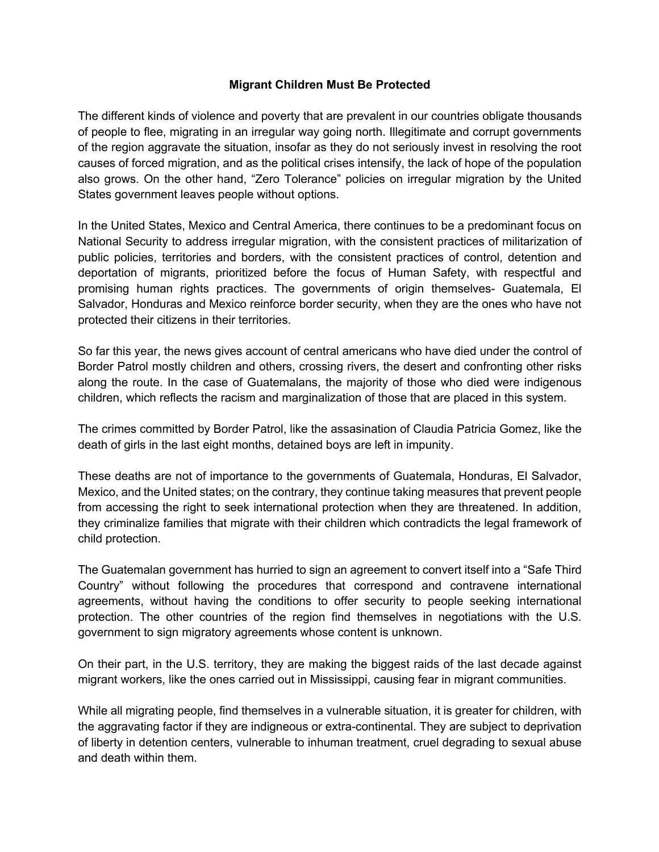#### **Migrant Children Must Be Protected**

The different kinds of violence and poverty that are prevalent in our countries obligate thousands of people to flee, migrating in an irregular way going north. Illegitimate and corrupt governments of the region aggravate the situation, insofar as they do not seriously invest in resolving the root causes of forced migration, and as the political crises intensify, the lack of hope of the population also grows. On the other hand, "Zero Tolerance" policies on irregular migration by the United States government leaves people without options.

In the United States, Mexico and Central America, there continues to be a predominant focus on National Security to address irregular migration, with the consistent practices of militarization of public policies, territories and borders, with the consistent practices of control, detention and deportation of migrants, prioritized before the focus of Human Safety, with respectful and promising human rights practices. The governments of origin themselves- Guatemala, El Salvador, Honduras and Mexico reinforce border security, when they are the ones who have not protected their citizens in their territories.

So far this year, the news gives account of central americans who have died under the control of Border Patrol mostly children and others, crossing rivers, the desert and confronting other risks along the route. In the case of Guatemalans, the majority of those who died were indigenous children, which reflects the racism and marginalization of those that are placed in this system.

The crimes committed by Border Patrol, like the assasination of Claudia Patricia Gomez, like the death of girls in the last eight months, detained boys are left in impunity.

These deaths are not of importance to the governments of Guatemala, Honduras, El Salvador, Mexico, and the United states; on the contrary, they continue taking measures that prevent people from accessing the right to seek international protection when they are threatened. In addition, they criminalize families that migrate with their children which contradicts the legal framework of child protection.

The Guatemalan government has hurried to sign an agreement to convert itself into a "Safe Third Country" without following the procedures that correspond and contravene international agreements, without having the conditions to offer security to people seeking international protection. The other countries of the region find themselves in negotiations with the U.S. government to sign migratory agreements whose content is unknown.

On their part, in the U.S. territory, they are making the biggest raids of the last decade against migrant workers, like the ones carried out in Mississippi, causing fear in migrant communities.

While all migrating people, find themselves in a vulnerable situation, it is greater for children, with the aggravating factor if they are indigneous or extra-continental. They are subject to deprivation of liberty in detention centers, vulnerable to inhuman treatment, cruel degrading to sexual abuse and death within them.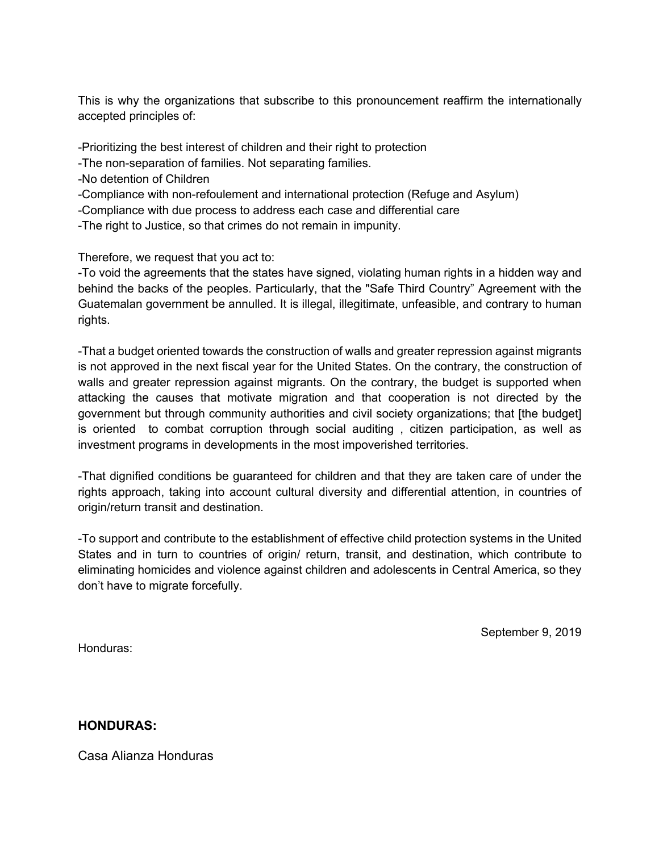This is why the organizations that subscribe to this pronouncement reaffirm the internationally accepted principles of:

-Prioritizing the best interest of children and their right to protection

- -The non-separation of families. Not separating families.
- -No detention of Children
- -Compliance with non-refoulement and international protection (Refuge and Asylum)
- -Compliance with due process to address each case and differential care
- -The right to Justice, so that crimes do not remain in impunity.

Therefore, we request that you act to:

-To void the agreements that the states have signed, violating human rights in a hidden way and behind the backs of the peoples. Particularly, that the "Safe Third Country" Agreement with the Guatemalan government be annulled. It is illegal, illegitimate, unfeasible, and contrary to human rights.

-That a budget oriented towards the construction of walls and greater repression against migrants is not approved in the next fiscal year for the United States. On the contrary, the construction of walls and greater repression against migrants. On the contrary, the budget is supported when attacking the causes that motivate migration and that cooperation is not directed by the government but through community authorities and civil society organizations; that [the budget] is oriented to combat corruption through social auditing , citizen participation, as well as investment programs in developments in the most impoverished territories.

-That dignified conditions be guaranteed for children and that they are taken care of under the rights approach, taking into account cultural diversity and differential attention, in countries of origin/return transit and destination.

-To support and contribute to the establishment of effective child protection systems in the United States and in turn to countries of origin/ return, transit, and destination, which contribute to eliminating homicides and violence against children and adolescents in Central America, so they don't have to migrate forcefully.

September 9, 2019

Honduras:

**HONDURAS:**

Casa Alianza Honduras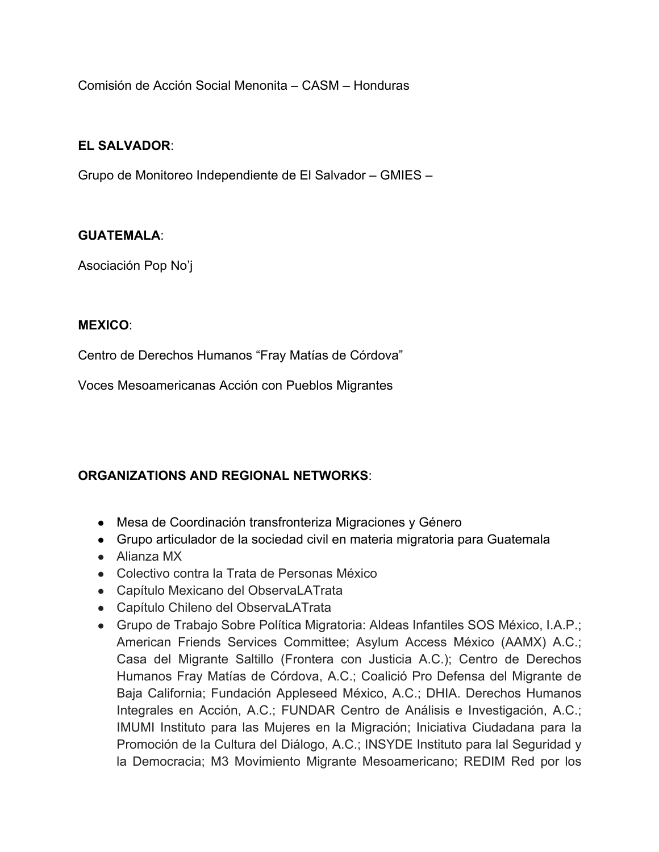Comisión de Acción Social Menonita – CASM – Honduras

### **EL SALVADOR**:

Grupo de Monitoreo Independiente de El Salvador – GMIES –

#### **GUATEMALA**:

Asociación Pop No'j

#### **MEXICO**:

Centro de Derechos Humanos "Fray Matías de Córdova"

Voces Mesoamericanas Acción con Pueblos Migrantes

## **ORGANIZATIONS AND REGIONAL NETWORKS**:

- Mesa de Coordinación transfronteriza Migraciones y Género
- Grupo articulador de la sociedad civil en materia migratoria para Guatemala
- Alianza MX
- Colectivo contra la Trata de Personas México
- Capítulo Mexicano del ObservaLATrata
- Capítulo Chileno del ObservaLATrata
- Grupo de Trabajo Sobre Política Migratoria: Aldeas Infantiles SOS México, I.A.P.; American Friends Services Committee; Asylum Access México (AAMX) A.C.; Casa del Migrante Saltillo (Frontera con Justicia A.C.); Centro de Derechos Humanos Fray Matías de Córdova, A.C.; Coalició Pro Defensa del Migrante de Baja California; Fundación Appleseed México, A.C.; DHIA. Derechos Humanos Integrales en Acción, A.C.; FUNDAR Centro de Análisis e Investigación, A.C.; IMUMI Instituto para las Mujeres en la Migración; Iniciativa Ciudadana para la Promoción de la Cultura del Diálogo, A.C.; INSYDE Instituto para lal Seguridad y la Democracia; M3 Movimiento Migrante Mesoamericano; REDIM Red por los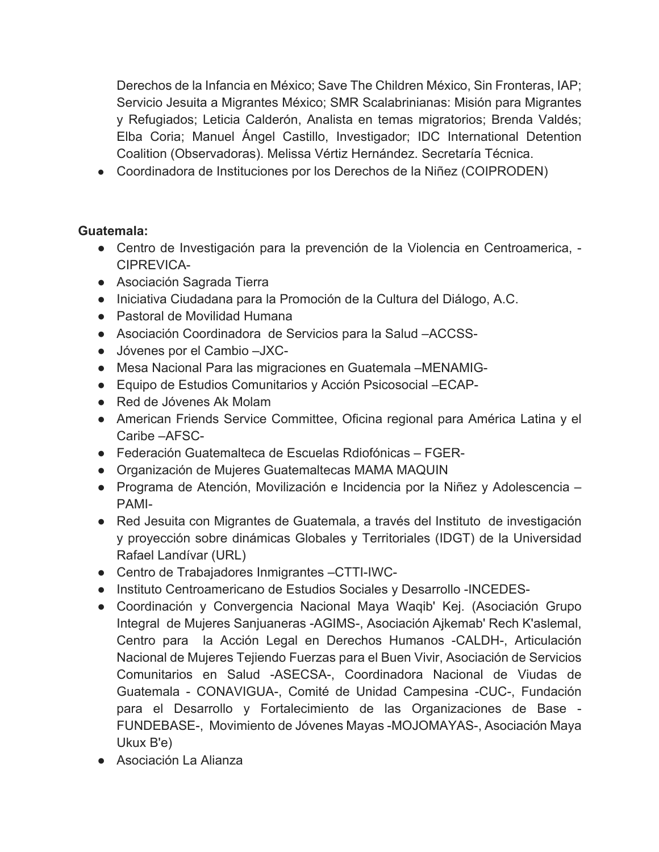Derechos de la Infancia en México; Save The Children México, Sin Fronteras, IAP; Servicio Jesuita a Migrantes México; SMR Scalabrinianas: Misión para Migrantes y Refugiados; Leticia Calderón, Analista en temas migratorios; Brenda Valdés; Elba Coria; Manuel Ángel Castillo, Investigador; IDC International Detention Coalition (Observadoras). Melissa Vértiz Hernández. Secretaría Técnica.

● Coordinadora de Instituciones por los Derechos de la Niñez (COIPRODEN)

# **Guatemala:**

- Centro de Investigación para la prevención de la Violencia en Centroamerica, CIPREVICA-
- Asociación Sagrada Tierra
- Iniciativa Ciudadana para la Promoción de la Cultura del Diálogo, A.C.
- Pastoral de Movilidad Humana
- Asociación Coordinadora de Servicios para la Salud –ACCSS-
- Jóvenes por el Cambio –JXC-
- Mesa Nacional Para las migraciones en Guatemala –MENAMIG-
- Equipo de Estudios Comunitarios y Acción Psicosocial –ECAP-
- Red de Jóvenes Ak Molam
- American Friends Service Committee, Oficina regional para América Latina y el Caribe –AFSC-
- Federación Guatemalteca de Escuelas Rdiofónicas FGER-
- Organización de Mujeres Guatemaltecas MAMA MAQUIN
- Programa de Atención, Movilización e Incidencia por la Niñez y Adolescencia PAMI-
- Red Jesuita con Migrantes de Guatemala, a través del Instituto de investigación y proyección sobre dinámicas Globales y Territoriales (IDGT) de la Universidad Rafael Landívar (URL)
- Centro de Trabajadores Inmigrantes –CTTI-IWC-
- Instituto Centroamericano de Estudios Sociales y Desarrollo -INCEDES-
- Coordinación y Convergencia Nacional Maya Waqib' Kej. (Asociación Grupo Integral de Mujeres Sanjuaneras -AGIMS-, Asociación Ajkemab' Rech K'aslemal, Centro para la Acción Legal en Derechos Humanos -CALDH-, Articulación Nacional de Mujeres Tejiendo Fuerzas para el Buen Vivir, Asociación de Servicios Comunitarios en Salud -ASECSA-, Coordinadora Nacional de Viudas de Guatemala - CONAVIGUA-, Comité de Unidad Campesina -CUC-, Fundación para el Desarrollo y Fortalecimiento de las Organizaciones de Base - FUNDEBASE-, Movimiento de Jóvenes Mayas -MOJOMAYAS-, Asociación Maya Ukux B'e)
- Asociación La Alianza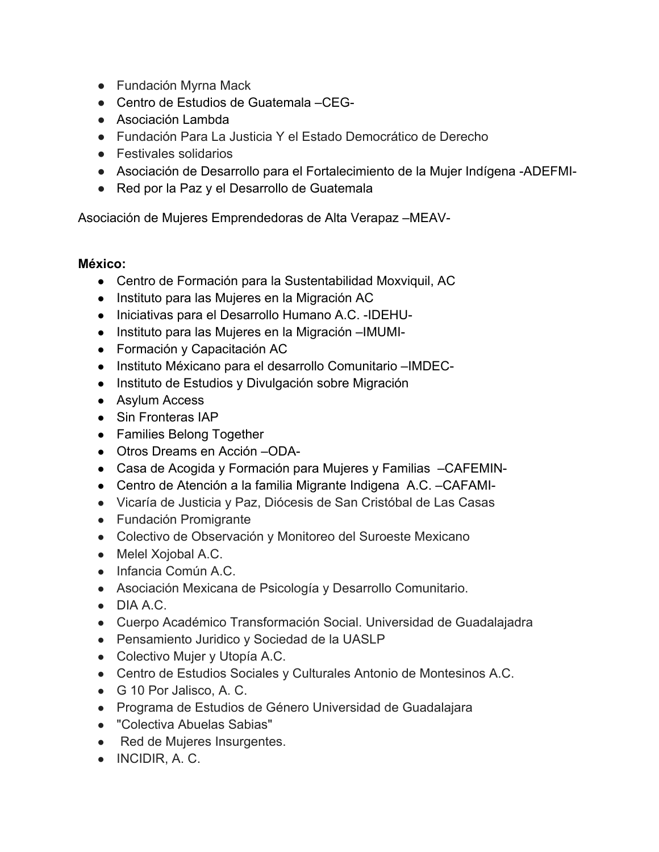- Fundación Myrna Mack
- Centro de Estudios de Guatemala CEG-
- Asociación Lambda
- Fundación Para La Justicia Y el Estado Democrático de Derecho
- Festivales solidarios
- Asociación de Desarrollo para el Fortalecimiento de la Mujer Indígena -ADEFMI-
- Red por la Paz y el Desarrollo de Guatemala

Asociación de Mujeres Emprendedoras de Alta Verapaz –MEAV-

## **México:**

- Centro de Formación para la Sustentabilidad Moxviquil, AC
- Instituto para las Mujeres en la Migración AC
- Iniciativas para el Desarrollo Humano A.C. -IDEHU-
- Instituto para las Mujeres en la Migración –IMUMI-
- Formación y Capacitación AC
- Instituto Méxicano para el desarrollo Comunitario –IMDEC-
- Instituto de Estudios y Divulgación sobre Migración
- Asylum Access
- Sin Fronteras IAP
- Families Belong Together
- Otros Dreams en Acción –ODA-
- Casa de Acogida y Formación para Mujeres y Familias CAFEMIN-
- Centro de Atención a la familia Migrante Indigena A.C. –CAFAMI-
- Vicaría de Justicia y Paz, Diócesis de San Cristóbal de Las Casas
- Fundación Promigrante
- Colectivo de Observación y Monitoreo del Suroeste Mexicano
- Melel Xoiobal A.C.
- Infancia Común A.C.
- Asociación Mexicana de Psicología y Desarrollo Comunitario.
- $\bullet$  DIA A.C.
- Cuerpo Académico Transformación Social. Universidad de Guadalajadra
- Pensamiento Juridico y Sociedad de la UASLP
- Colectivo Mujer y Utopía A.C.
- Centro de Estudios Sociales y Culturales Antonio de Montesinos A.C.
- G 10 Por Jalisco, A. C.
- Programa de Estudios de Género Universidad de Guadalajara
- "Colectiva Abuelas Sabias"
- Red de Mujeres Insurgentes.
- INCIDIR, A. C.